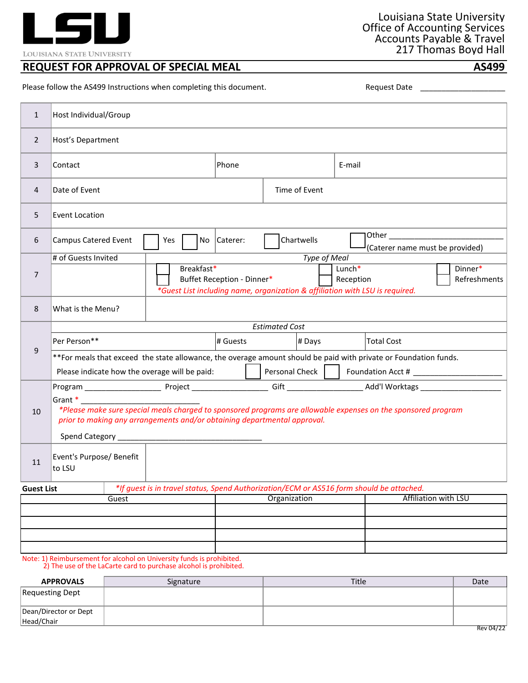

LOUISIANA STATE UNIVERSITY

## **REQUEST FOR APPROVAL OF SPECIAL MEAL AS499**

Please follow the AS499 Instructions when completing this document. The mass of the control of the control of the mass represents are not a sequest Date control of the control of the mass represents are not the sequest Dat

| $\mathbf{1}$      | Host Individual/Group                                                                                                                      |                                                                                                                                                                                                      |                                                                                                                                                                                            |                                         |             |                |                                                                                          |                      |  |
|-------------------|--------------------------------------------------------------------------------------------------------------------------------------------|------------------------------------------------------------------------------------------------------------------------------------------------------------------------------------------------------|--------------------------------------------------------------------------------------------------------------------------------------------------------------------------------------------|-----------------------------------------|-------------|----------------|------------------------------------------------------------------------------------------|----------------------|--|
| $\overline{2}$    | Host's Department                                                                                                                          |                                                                                                                                                                                                      |                                                                                                                                                                                            |                                         |             |                |                                                                                          |                      |  |
| 3                 | Contact                                                                                                                                    |                                                                                                                                                                                                      |                                                                                                                                                                                            |                                         | Phone       |                | E-mail                                                                                   |                      |  |
| $\overline{4}$    | Date of Event                                                                                                                              |                                                                                                                                                                                                      |                                                                                                                                                                                            |                                         |             | Time of Event  |                                                                                          |                      |  |
| 5                 | <b>Event Location</b>                                                                                                                      |                                                                                                                                                                                                      |                                                                                                                                                                                            |                                         |             |                |                                                                                          |                      |  |
| 6                 | <b>Campus Catered Event</b>                                                                                                                |                                                                                                                                                                                                      | Yes                                                                                                                                                                                        |                                         | No Caterer: | Chartwells     | (Caterer name must be provided)                                                          |                      |  |
| $\overline{7}$    | # of Guests Invited                                                                                                                        |                                                                                                                                                                                                      | Type of Meal<br>Breakfast*<br>Lunch*<br>Dinner*<br>Buffet Reception - Dinner*<br>Reception<br>Refreshments<br>*Guest List including name, organization & affiliation with LSU is required. |                                         |             |                |                                                                                          |                      |  |
| 8                 | What is the Menu?                                                                                                                          |                                                                                                                                                                                                      |                                                                                                                                                                                            |                                         |             |                |                                                                                          |                      |  |
|                   | <b>Estimated Cost</b>                                                                                                                      |                                                                                                                                                                                                      |                                                                                                                                                                                            |                                         |             |                |                                                                                          |                      |  |
| 9                 | Per Person**                                                                                                                               |                                                                                                                                                                                                      |                                                                                                                                                                                            | <b>Total Cost</b><br># Guests<br># Days |             |                |                                                                                          |                      |  |
|                   | **For meals that exceed the state allowance, the overage amount should be paid with private or Foundation funds.                           |                                                                                                                                                                                                      |                                                                                                                                                                                            |                                         |             |                |                                                                                          |                      |  |
|                   | Please indicate how the overage will be paid:                                                                                              |                                                                                                                                                                                                      |                                                                                                                                                                                            |                                         |             | Personal Check |                                                                                          |                      |  |
|                   |                                                                                                                                            |                                                                                                                                                                                                      |                                                                                                                                                                                            |                                         |             |                |                                                                                          |                      |  |
| 10                |                                                                                                                                            | Grant *<br>*Please make sure special meals charged to sponsored programs are allowable expenses on the sponsored program<br>prior to making any arrangements and/or obtaining departmental approval. |                                                                                                                                                                                            |                                         |             |                |                                                                                          |                      |  |
| 11                | Event's Purpose/ Benefit<br>to LSU                                                                                                         |                                                                                                                                                                                                      |                                                                                                                                                                                            |                                         |             |                |                                                                                          |                      |  |
| <b>Guest List</b> |                                                                                                                                            |                                                                                                                                                                                                      |                                                                                                                                                                                            |                                         |             |                | *If guest is in travel status, Spend Authorization/ECM or AS516 form should be attached. |                      |  |
| Guest             |                                                                                                                                            |                                                                                                                                                                                                      |                                                                                                                                                                                            |                                         |             | Organization   |                                                                                          | Affiliation with LSU |  |
|                   |                                                                                                                                            |                                                                                                                                                                                                      |                                                                                                                                                                                            |                                         |             |                |                                                                                          |                      |  |
|                   |                                                                                                                                            |                                                                                                                                                                                                      |                                                                                                                                                                                            |                                         |             |                |                                                                                          |                      |  |
|                   |                                                                                                                                            |                                                                                                                                                                                                      |                                                                                                                                                                                            |                                         |             |                |                                                                                          |                      |  |
|                   | Note: 1) Reimbursement for alcohol on University funds is prohibited.<br>2) The use of the LaCarte card to purchase alcohol is prohibited. |                                                                                                                                                                                                      |                                                                                                                                                                                            |                                         |             |                |                                                                                          |                      |  |

| <b>APPROVALS</b>                    | Signature | Title | Date      |
|-------------------------------------|-----------|-------|-----------|
| Requesting Dept                     |           |       |           |
| Dean/Director or Dept<br>Head/Chair |           |       |           |
|                                     |           |       | Rev 04/22 |